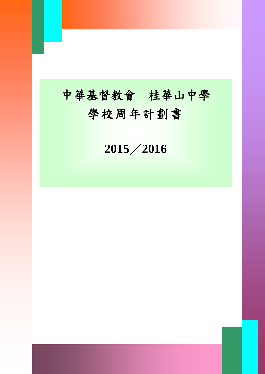# 中華基督教會 桂華山中學 學校周年計劃書

I

《此範本適用於小學、中學及特殊學校》 ABC 學校 **2015**/**2016**

學校周年計劃 0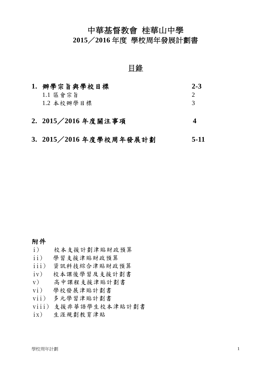# 中華基督教會 桂華山中學

**2015**/**2016** 年度 學校周年發展計劃書

## 目錄

| 1. 辨學宗旨與學校目標          | $2 - 3$       |
|-----------------------|---------------|
| $1.1$ 區會宗旨            |               |
| 1.2 本校辦學目標            | $\mathcal{R}$ |
| 2. 2015 / 2016 年度關注事項 |               |

#### **3. 2015**/**2016** 年度學校周年發展計劃 **5-11**

#### 附件

- i) 校本支援計劃津貼財政預算
- ii) 學習支援津貼財政預算
- iii) 資訊科技綜合津貼財政預算
- iv) 校本課後學習及支援計劃書
- v) 高中課程支援津貼計劃書
- vi) 學校發展津貼計劃書
- vii) 多元學習津貼計劃書
- viii) 支援非華語學生校本津貼計劃書
- ix) 生涯規劃教育津貼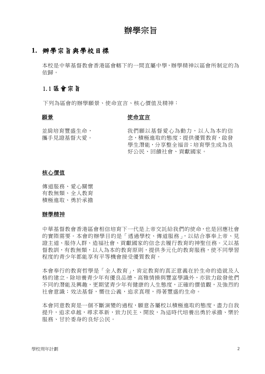## 辦學宗旨

#### **1.** 辦學宗旨與學校目標

本校是中華基督教會香港區會轄下的一間直屬中學,辦學精神以區會所制定的為 依歸。

#### 1.1 區會宗旨

下列為區會的辦學願景、使命宣言、核心價值及精神:

#### 願景

#### 使命宣言

並肩培育豐盛生命, 攜手見證基督大愛。 我們願以基督愛心為動力,以人為本的信 念,積極進取的態度;提供優質教育,啟發 學生潛能,分享整全福音;培育學生成為良 好公民、回饋社會、貢獻國家。

#### 核心價值

傳道服務、愛心關懷 有教無類、全人教育 積極進取、勇於承擔

#### 辦學精神

中華基督教會香港區會相信培育下一代是上帝交託給我們的使命,也是回應社會 的實際需要。本會的辦學目的是「透過學校、傳道服務」,以結合事奉上帝、見 證主道、服侍人群、造福社會、貢獻國家的信念去履行教育的神聖任務。又以基 督教訓,有教無類,以人為本的教育原則,提供多元化的教育服務,使不同學習 程度的青少年都能享有平等機會接受優質教育。

本會奉行的教育哲學是「全人教育」,肯定教育的真正意義在於生命的造就及人 格的建立。除培養青少年有優良品德、高雅情操與豐富學識外,亦致力啟發他們 不同的潛能及興趣,更期望青少年有健康的人生態度,正確的價值觀,及強烈的 社會意識;效法基督,嚮往公義,追求真理,得著豐盛的生命。

本會同意教育是一個不斷演變的過程,願意各屬校以積極進取的態度,盡力自我 提升,追求卓越,尋求革新,致力民主、開放,為這時代培養出勇於承擔、樂於 服務、甘於委身的良好公民。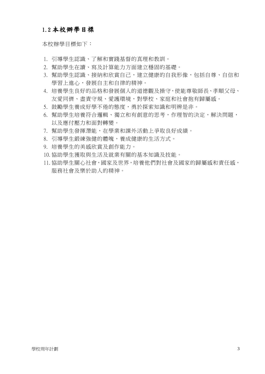#### 1.2 本校辦學目標

本校辦學目標如下:

- 1. 引導學生認識、了解和實踐基督的真理和教訓。
- 2. 幫助學生在讀、寫及計算能力方面建立穩固的基礎。
- 3. 幫助學生認識、接納和欣賞自己,建立健康的自我形像,包括自尊、自信和 學習上進心,發展自主和自律的精神。
- 4. 培養學生良好的品格和發展個人的道德觀及操守,使能尊敬師長、孝順父母、 友愛同儕、盡責守規、愛護環境,對學校、家庭和社會抱有歸屬感。
- 5. 鼓勵學生養成好學不倦的態度,勇於探索知識和明辨是非。
- 6. 幫助學生培養符合邏輯、獨立和有創意的思考,作理智的決定,解決問題, 以及應付壓力和面對轉變。
- 7. 幫助學生發揮潛能,在學業和課外活動上爭取良好成績。
- 8. 引導學生鍛練強健的體魄,養成健康的生活方式。
- 9. 培養學生的美感欣賞及創作能力。
- 10. 協助學生獲取與生活及就業有關的基本知識及技能。
- 11. 協助學生關心社會,國家及世界,培養他們對社會及國家的歸屬感和責任感, 服務社會及樂於助人的精神。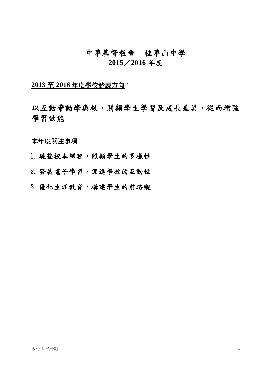# 中華基督教會桂華山中學 **2015**/**2016** 年度

**2013** 至 **2016** 年度學校發展方向:

以互動帶動學與教,關顧學生學習及成長差異,從而增強 學習效能

本年度關注事項

1.統整校本課程,照顧學生的多樣性

2.發展電子學習,促進學教的互動性

3.優化生涯教育,構建學生的前路觀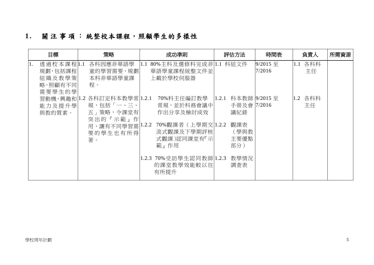# **1 .** 關注事項: 統整校本課程,照顧學生的多樣性

|    | 目標                                                    | 策略                                                                                                     | 成功準則                                                                                                                          | 評估方法                                                                                   | 時間表                | 負責人                        | 所需資源 |
|----|-------------------------------------------------------|--------------------------------------------------------------------------------------------------------|-------------------------------------------------------------------------------------------------------------------------------|----------------------------------------------------------------------------------------|--------------------|----------------------------|------|
| 1. | 透過校本課程 1.1<br>規劃,包括課程 <br>組織及教學策<br>略,照顧有不同<br>需要學生的學 | 各科因應非華語學<br>童的學習需要,規劃<br>本科非華語學童課<br>程。                                                                | 80%主科及選修科完成非 1.1<br>1.1<br>華語學童課程統整文件並<br>上載於學校伺服器                                                                            | 科組文件                                                                                   | 9/2015 至<br>7/2016 | 各科科<br>$ 1.1\rangle$<br>主任 |      |
|    | 能力及提升學<br>與教的質素。                                      | 習動機、興趣和 1.2 各科訂定科本教學常 1.2.1<br>規,包括「一、三、<br>五」策略,令課堂有<br>突出的『示範』作<br>用,讓有不同學習需 1.2.2<br>要的學生也有所得<br>著。 | 70%科主任編訂教學<br>常規,並於科務會議中 <br>作出分享及檢討成效<br>70%觀課者 (上學期交 1.2.2<br>流式觀課及下學期評核<br>式觀課)認同課堂有『示<br>範』作用<br>1.2.3 70% 受訪學生認同教師 1.2.3 | 科本教師 9/2015 至<br> 1.2.1 <br>手冊及會   7/2016<br>議紀錄<br>觀課表<br>(學與教<br>主要優點<br>部分)<br>教學情況 |                    | 1.2 各科科<br>主任              |      |
|    |                                                       |                                                                                                        | 的課堂教學效能較以往<br>有所提升                                                                                                            | 調査表                                                                                    |                    |                            |      |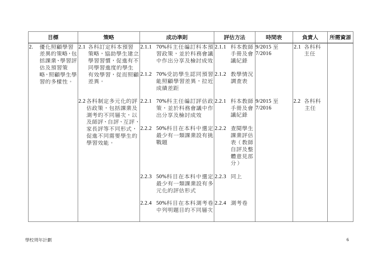|    | 目標                                                | 策略                                                                                               |       | 成功準則                                                                                | 評估方法                                         | 時間表 | 負責人           | 所需資源 |
|----|---------------------------------------------------|--------------------------------------------------------------------------------------------------|-------|-------------------------------------------------------------------------------------|----------------------------------------------|-----|---------------|------|
| 2. | 優化照顧學習<br>差異的策略,包 <br>括課業、學習評<br>估及預習策<br>略,照顧學生學 | 2.1 各科訂定科本預習<br>策略,協助學生建立 <br>學習習慣,促進有不 <br>同學習進度的學生                                             | 2.1.1 | 70%科主任編訂科本預2.1.1<br>習政策,並於科務會議 <br>中作出分享及檢討成效 <br>有效學習,從而照顧 2.1.2 70%受訪學生認同預習 2.1.2 | 科本教師 9/2015 至<br>手冊及會  7/2016<br>議紀錄<br>教學情況 |     | 2.1 各科科<br>主任 |      |
|    | 習的多樣性。                                            | 差異。                                                                                              |       | 能照顧學習差異,拉近 <br>成績差距                                                                 | 調査表                                          |     |               |      |
|    |                                                   | 2.2各科制定多元化的評  2.2.1 70%科主任編訂評估政 2.2.1 科本教師  9/2015 至 <br>估政策,包括課業及  <br>測考的不同層次,以 <br>及師評、自評、互評、 |       | 策,並於科務會議中作 <br>出分享及檢討成效                                                             | 手冊及會 7/2016<br>議紀錄                           |     | 2.2 各科科<br>主任 |      |
|    |                                                   | 家長評等不同形式,  2.2.2<br>促進不同需要學生的<br>學習效能。                                                           |       | 50%科目在本科中選定 2.2.2<br>最少有一類課業設有挑<br>戰題                                               | 查閱學生<br>課業評估<br>表(教師<br>自評及整<br>體意見部<br>分)   |     |               |      |
|    |                                                   |                                                                                                  |       | 2.2.3 50%科目在本科中選定 2.2.3<br>最少有一類課業設有多<br>元化的評估形式                                    | 同上                                           |     |               |      |
|    |                                                   |                                                                                                  |       | 2.2.4 50%科目在本科測考卷 2.2.4 測考卷<br>中列明題目的不同層次                                           |                                              |     |               |      |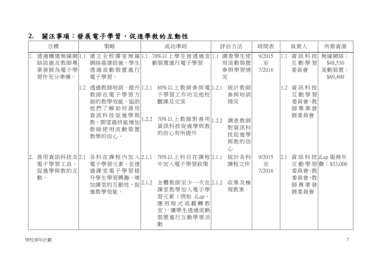| 2. 關注事項:發展電子學習,促進學教的互動性 |  |
|-------------------------|--|
|-------------------------|--|

| 目標                                            | 策略                                                                                                       | 成功準則                                                                                                                       | 評估方法                                                    | 時間表                   | 負責人                                                          | 所需資源                                   |
|-----------------------------------------------|----------------------------------------------------------------------------------------------------------|----------------------------------------------------------------------------------------------------------------------------|---------------------------------------------------------|-----------------------|--------------------------------------------------------------|----------------------------------------|
| 透過構建無線網1.1<br>絡設施及教師專<br>業發展為電子學<br>習作充分準備。   | 建立全校課室無線 1.1<br>網絡基建設施,學生<br>透過流動裝置進行<br>雷子壆習。                                                           | 70%以上學生曾透過流 1.1<br>動裝置進行電子學習                                                                                               | 調查學生使<br>用流動裝置<br>參與學習情<br>況                            | 9/2015<br>至<br>7/2016 | 資訊科技<br>1.1<br>互動學習<br>委員會                                   | 無線網絡:<br>\$48,530<br>流動裝置:<br>\$69,400 |
|                                               | 1.2 透過教師培訓,提升 1.2.1 <br>教師在電子學習方<br>面的教學效能,協助<br>他們了解如何善用<br>資訊科技促進學與<br>教,期望最終能增加<br>教師使用流動裝置<br>教學的信心。 | 80%以上教師參與電 1.2.1<br>子學習工作坊及他校<br>觀課及交流<br>70%以上教師對善用 1.2.2<br>1.2.2<br>資訊科技促進學與教<br>的信心有所提升                                | 統計教師<br>參與培訓<br>情況<br>調查教師<br>對資訊科<br>技促進學<br>與教的信<br>心 |                       | 1.2 資訊科技<br>互動學習<br>委員會、教<br>師專業發<br>展委員會                    |                                        |
| 善用資訊科技及2.1<br> 2.<br>電子學習工具,<br>促進學與教的互<br>動。 | 各科在課程內加入2.1.1<br>電子學習元素,並透<br>過課堂電子學習提<br>升學生學習興趣,增<br>加課堂的互動性,促 $[2.1.2]$<br>進教學效能。                     | 70%以上科目在課程 2.1.1<br>中加入電子學習政策<br>全體教師至少一次在 2.1.2<br>課堂教學加入電子學<br>習元素 (例如 iLap、<br>應用程式或翻轉教<br>室),讓學生透過流動<br>裝置進行互動學習活<br>動 | 統計各科<br>課程文件<br>收集及檢<br>視教案                             | 9/2015<br>至<br>7/2016 | $\vert$ 2.1 資訊科技 liLap 服務年<br>委員會、教<br>委員會、教<br>師專業發<br>展委員會 | 互動學習費: \$33,000                        |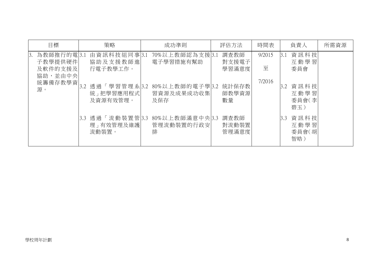| 目標                                                                   | 策略                                                                                | 成功準則                                                                 | 評估方法                                           | 時間表                   | 負責人                                                               | 所需資源 |
|----------------------------------------------------------------------|-----------------------------------------------------------------------------------|----------------------------------------------------------------------|------------------------------------------------|-----------------------|-------------------------------------------------------------------|------|
| 為教師推行的電 3.1<br>3.<br>子教學提供硬件<br>及軟件的支援及<br>協助,並由中央<br>統籌備存教學資 <br>源。 | 由資訊科技組同事 3.1<br>協助及支援教師進<br>行電子教學工作。<br>「學習管理系 3.2<br>透過<br>統」把學習應用程式<br>及資源有效管理。 | 70%以上教師認為支援 3.1<br>電子學習措施有幫助<br>80%以上教師的電子學 3.2<br>習資源及成果成功收集<br>及保存 | 調査教師<br>對支援電子<br>學習滿意度<br>統計保存教<br>師教學資源<br>數量 | 9/2015<br>至<br>7/2016 | 資訊科技<br>3.1<br>互動學習<br>委員會<br>資訊科技<br>3.2<br>互動學習<br>委員會(李<br>碧玉) |      |
|                                                                      | 「流動裝置管 3.3<br>透過<br>3.3<br>理」有效管理及維護<br>流動裝置。                                     | 80%以上教師滿意中央 3.3<br>管理流動裝置的行政安<br>排                                   | 調查教師<br>對流動裝置<br>管理滿意度                         |                       | 資訊科技<br>3.3<br>互動學習<br>委員會(胡<br>智皓)                               |      |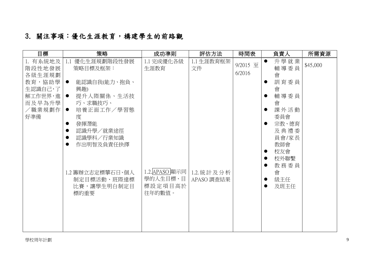# 3. 關注事項:優化生涯教育,構建學生的前路觀

| 升學就業<br>1. 有系統地及<br>1.1 完成優化各級<br>1.1 生涯教育框架<br>優化生涯規劃階段性發展<br>1.1<br>$\bullet$<br>9/2015 至<br>\$45,000<br>輔導委員<br>階段性地發展<br>策略目標及框架:<br>生涯教育<br>文件<br>6/2016<br>會<br>各級生涯規劃<br>教育,協助學 <br>能認識自我(能力、抱負、<br>訓育委員<br>生認識自己,了<br>會<br>興趣)<br>解工作世界,進  <br>提升人際關係、生活技<br>輔導委員<br>$\bullet$<br>而及早為升學<br>巧、求職技巧、<br>會<br>/職業規劃作 <br>培養正面工作/學習態<br>課外活動<br>$\bullet$<br>委員會<br>好準備<br>度<br>發揮潛能<br>宗教、德育<br>認識升學/就業途徑<br>及典禮委<br>員會/家長<br>認識學科/行業知識<br>教師會<br>作出明智及負責任抉擇<br>校友會<br>$\bullet$ | 目標 | 策略 | 成功準則 | 評估方法 | 時間表 | 負責人 | 所需資源 |
|----------------------------------------------------------------------------------------------------------------------------------------------------------------------------------------------------------------------------------------------------------------------------------------------------------------------------------------------------------------------------------------------------------------------------------------------------------------------------------------|----|----|------|------|-----|-----|------|
| 校外聯繫<br>$\bullet$<br>教務委員<br>1.2. APASO 顯示同<br>1.2 籌辦立志定標攀石日、個人<br>1.2. 統計及分析<br>會<br>學的人生目標、目<br>制定目標活動、班際達標<br>級主任<br>APASO 調査結果<br>標設定項目高於<br>比賽,讓學生明白制定目<br>及班主任<br>往年的數值。<br>標的重要                                                                                                                                                                                                                                                                                                 |    |    |      |      |     |     |      |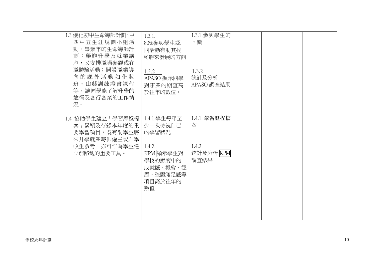|        | 1.3 優化初中生命導師計劃、中 | 1.3.1.      | 1.3.1. 參與學生的 |  |  |
|--------|------------------|-------------|--------------|--|--|
|        | 四中五生涯規劃小組活       | 80%參與學生認    | 回饋           |  |  |
|        | 動、畢業年的生命導師計      | 同活動有助其找     |              |  |  |
|        | 劃;舉辦升學及就業講       | 到將來發展的方向    |              |  |  |
|        | 座,又安排職場參觀或在      |             |              |  |  |
|        | 職體驗活動;開設職業導      | 1.3.2       | 1.3.2        |  |  |
|        | 向的課外活動如化妝        | APASO 顯示同學  | 統計及分析        |  |  |
|        | 班、山藝訓練證書課程       | 對事業的期望高     | APASO 調査結果   |  |  |
|        | 等,讓同學能了解升學的      | 於往年的數值。     |              |  |  |
|        | 途徑及各行各業的工作情      |             |              |  |  |
|        | 況。               |             |              |  |  |
|        |                  |             |              |  |  |
|        | 1.4 協助學生建立「學習歷程檔 | 1.4.1.學生每年至 | 1.4.1 學習歷程檔  |  |  |
|        | 案   累積及存錄本年度的重   | 少一次檢視自己     | 案            |  |  |
|        | 要學習項目,既有助學生將     | 的學習狀況       |              |  |  |
|        | 來升學就業時供僱主或升學     |             |              |  |  |
|        | 收生參考,亦可作為學生建     | 1.4.2.      | 1.4.2        |  |  |
|        | 立前路觀的重要工具。       | KPM 顯示學生對   | 统計及分析 KPM    |  |  |
|        |                  | 學校的熊度中的     | 調査結果         |  |  |
|        |                  | 成就感、機會、經    |              |  |  |
|        |                  | 歷、整體滿足感等    |              |  |  |
|        |                  | 項目高於往年的     |              |  |  |
|        |                  | 數值          |              |  |  |
|        |                  |             |              |  |  |
|        |                  |             |              |  |  |
|        |                  |             |              |  |  |
|        |                  |             |              |  |  |
|        |                  |             |              |  |  |
|        |                  |             |              |  |  |
| 學校周年計劃 |                  |             |              |  |  |
|        |                  |             |              |  |  |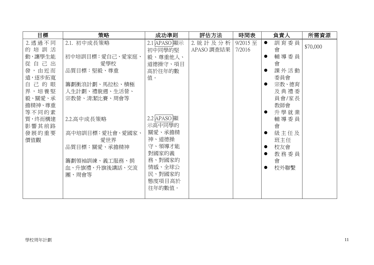| 目標      | 策略               | 成功準則         | 評估方法       | 時間表      | 負責人               | 所需資源     |
|---------|------------------|--------------|------------|----------|-------------------|----------|
| 2. 透過不同 | 2.1. 初中成長策略      | 2.1 APASO 顯示 | 2. 統計及分析   | 9/2015 至 | 訓育委員<br>$\bullet$ |          |
| 的培訓活    |                  | 初中同學的堅       | APASO 調査結果 | 7/2016   | 會                 | \$70,000 |
| 動,讓學生能  | 初中培訓目標: 愛自己、愛家庭、 | 毅、尊重他人、      |            |          | 輔導委員              |          |
| 從自己出    | 愛學校              | 道德操守、項目      |            |          | 會                 |          |
| 發,由近而   | 品質目標:堅毅、尊重       | 高於往年的數       |            |          | 課外活動              |          |
| 遠,逐步拓寬  |                  | 值。           |            |          | 委員會               |          |
| 自己的眼    | 籌劃衝浪計劃、馬拉松、積極    |              |            |          | 宗教、德育             |          |
| 界,培養堅   | 人生計劃、禮貌週、生活營、    |              |            |          | 及典禮委              |          |
| 毅、關愛、承  | 宗教營、清潔比賽、周會等     |              |            |          | 員會/家長             |          |
| 擔精神、尊重  |                  |              |            |          | 教師會               |          |
| 等不同的素   |                  |              |            |          | 升學就業              |          |
| 質,终而構建  | 2.2.高中成長策略       | 2.2 APASO顯   |            |          | 輔導委員              |          |
| 影響其前路   |                  | 示高中同學的       |            |          | 會                 |          |
| 發展的重要   | 高中培訓目標:愛社會、愛國家、  | 關愛、承擔精       |            |          | 級主任及              |          |
| 價值觀     | 愛世界              | 神、道德操        |            |          | 班主任               |          |
|         | 品質目標:關愛、承擔精神     | 守、領導才能       |            |          | 校友會               |          |
|         |                  | 對國家的義        |            |          | 教務委員              |          |
|         | 籌劃領袖訓練、義工服務、捐    | 務、對國家的       |            |          | 會                 |          |
|         | 血、升旗禮、升旗後講話、交流   | 情感、全球公       |            |          | 校外聯繫              |          |
|         | 團、周會等            | 民、對國家的       |            |          |                   |          |
|         |                  | 態度項目高於       |            |          |                   |          |
|         |                  | 往年的數值。       |            |          |                   |          |
|         |                  |              |            |          |                   |          |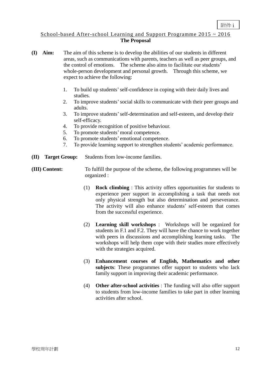#### School-based After-school Learning and Support Programme  $2015 \sim 2016$ **The Proposal**

- **(I) Aim:** The aim of this scheme is to develop the abilities of our students in different areas, such as communications with parents, teachers as well as peer groups, and the control of emotions. The scheme also aims to facilitate our students' whole-person development and personal growth. Through this scheme, we expect to achieve the following:
	- 1. To build up students'self-confidence in coping with their daily lives and studies.
	- 2. To improve students'social skills to communicate with their peer groups and adults.
	- 3. To improve students'self-determination and self-esteem, and develop their self-efficacy.
	- 4. To provide recognition of positive behaviour.
	- 5. To promote students' moral competence.
	- 6. To promote students' emotional competence.
	- 7. To provide learning support to strengthen students' academic performance.
- **(II) Target Group:** Students from low-income families.
- **(III) Content:** To fulfill the purpose of the scheme, the following programmes will be organized :
	- (1) **Rock climbing** : This activity offers opportunities for students to experience peer support in accomplishing a task that needs not only physical strength but also determination and perseverance. The activity will also enhance students' self-esteem that comes from the successful experience.
	- (2) **Learning skill workshops** : Workshops will be organized for students in F.1 and F.2. They will have the chance to work together with peers in discussions and accomplishing learning tasks. The workshops will help them cope with their studies more effectively with the strategies acquired.
	- (3) **Enhancement courses of English, Mathematics and other subjects**: These programmes offer support to students who lack family support in improving their academic performance.
	- (4) **Other after-school activities** : The funding will also offer support to students from low-income families to take part in other learning activities after school.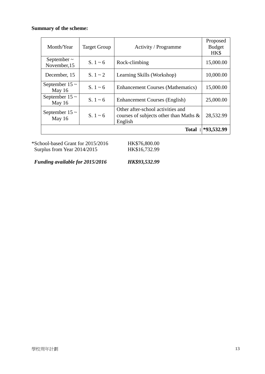#### **Summary of the scheme:**

| Month/Year                       | <b>Target Group</b> | Activity / Programme                                                                   | Proposed<br><b>Budget</b><br>HK\$ |
|----------------------------------|---------------------|----------------------------------------------------------------------------------------|-----------------------------------|
| September $\sim$<br>November, 15 | $S. 1 - 6$          | Rock-climbing                                                                          | 15,000.00                         |
| December, 15                     | $S. 1 \sim 2$       | Learning Skills (Workshop)                                                             | 10,000.00                         |
| September $15 \sim$<br>May 16    | S. $1 \sim 6$       | <b>Enhancement Courses (Mathematics)</b>                                               | 15,000.00                         |
| September $15 \sim$<br>May 16    | S. $1 - 6$          | <b>Enhancement Courses (English)</b>                                                   | 25,000.00                         |
| September $15 \sim$<br>May 16    | S. $1 - 6$          | Other after-school activities and<br>courses of subjects other than Maths &<br>English | 28,532.99                         |
|                                  |                     |                                                                                        | Total: *93,532.99                 |

\*School-based Grant for 2015/2016 HK\$76,800.00<br>Surplus from Year 2014/2015 HK\$16,732.99 Surplus from Year 2014/2015

*Funding available for 2015/2016 HK\$93,532.99*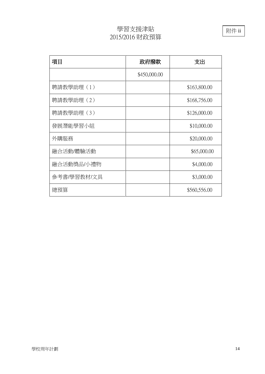## 學習支援津貼 2015/2016 財政預算

項目 項目 ありつい しんじょう 政府撥款 えんじょう 支出 \$450,000.00 聘請教學助理 (1) | \$163,800.00 聘請教學助理 (2) | \$168,756.00 聘請教學助理 (3)  $\qquad \qquad \qquad$  \$126,000.00 發展潛能學習小組 | \$10,000.00 外購服務 \$20,000.00 融合活動/體驗活動 \$65,000.00 融合活動獎品/小禮物 | おんなん | \$4,000.00 參考書/學習教材/文具 \$3,000.00 總預算 \$560,556.00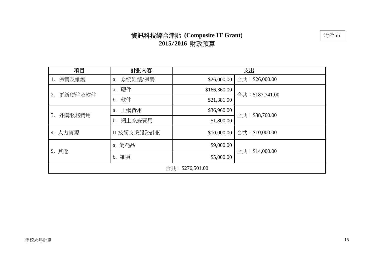# 資訊科技綜合津貼 **(Composite IT Grant) 2015**/**2016** 財政預算

| 項目              | 計劃內容          |              | 支出              |  |  |  |
|-----------------|---------------|--------------|-----------------|--|--|--|
| 保養及維護<br>1.     | 系統維護/保養<br>a. | \$26,000.00  | 合共:\$26,000.00  |  |  |  |
| 更新硬件及軟件<br>2.   | 硬件<br>a.      | \$166,360.00 | 合共:\$187,741.00 |  |  |  |
|                 | b. 軟件         | \$21,381.00  |                 |  |  |  |
| 外購服務費用<br>3.    | a. 上網費用       | \$36,960.00  | 合共: \$38,760.00 |  |  |  |
|                 | 網上系統費用<br>b.  | \$1,800.00   |                 |  |  |  |
| 4. 人力資源         | Ⅱ技術支援服務計劃     | \$10,000.00  | 合共:\$10,000.00  |  |  |  |
| 5. 其他           | a. 消耗品        | \$9,000.00   | 合共:\$14,000.00  |  |  |  |
|                 | b. 雜項         | \$5,000.00   |                 |  |  |  |
| 合共:\$276,501.00 |               |              |                 |  |  |  |

附件 iii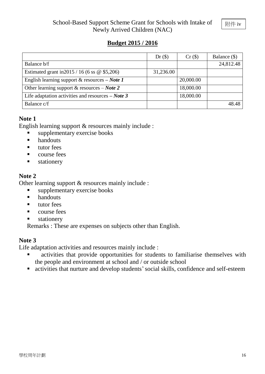### **Budget 2015 / 2016**

|                                                            | $Dr($ \$) | Cr(S)     | Balance (\$) |
|------------------------------------------------------------|-----------|-----------|--------------|
| Balance b/f                                                |           |           | 24,812.48    |
| Estimated grant in 2015 / 16 (6 ss $\omega$ \$5,206)       | 31,236.00 |           |              |
| English learning support & resources $-$ <i>Note 1</i>     |           | 20,000.00 |              |
| Other learning support & resources $-$ <i>Note</i> 2       |           | 18,000.00 |              |
| Life adaptation activities and resources $-$ <i>Note</i> 3 |           | 18,000.00 |              |
| Balance c/f                                                |           |           | 48.48        |

#### **Note 1**

English learning support & resources mainly include :

- supplementary exercise books
- **n** handouts
- $\blacksquare$  tutor fees
- **course** fees
- **stationery**

#### **Note 2**

Other learning support & resources mainly include :

- $\blacksquare$  supplementary exercise books
- **handouts**
- $\blacksquare$  tutor fees
- **COULD COULD COULD COULD COULD COULD COULD COULD COULD**
- **stationery**

Remarks : These are expenses on subjects other than English.

#### **Note 3**

Life adaptation activities and resources mainly include :

- activities that provide opportunities for students to familiarise themselves with the people and environment at school and / or outside school
- activities that nurture and develop students'social skills, confidence and self-esteem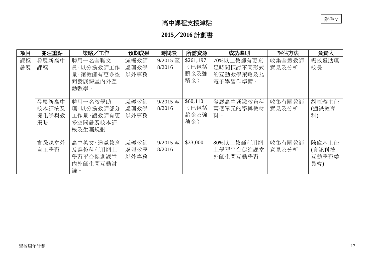# 高中課程支援津貼

# **2015**/**2016** 計劃書

| 項目       | 關注重點                          | 策略/工作                                                    | 預期成果                  | 時間表                | 所需資源                             | 成功準則                                             | 評估方法            | 負責人                            |
|----------|-------------------------------|----------------------------------------------------------|-----------------------|--------------------|----------------------------------|--------------------------------------------------|-----------------|--------------------------------|
| 課程<br>發展 | 發展新高中<br>課程                   | 聘用一名全職文<br>員,以分擔教師工作<br>量,讓教師有更多空<br>間發展課堂內外互<br>動教學。    | 減輕教師<br>處理教學<br>以外事務。 | 9/2015 至<br>8/2016 | \$261,197<br>(已包括<br>薪金及強<br>積金) | 70%以上教師有更充<br>足時間探討不同形式<br>的互動教學策略及為<br>電子學習作準備。 | 收集全體教師<br>意見及分析 | 楊威遜助理<br>校長                    |
|          | 發展新高中<br>校本評核及<br>優化學與教<br>策略 | 聘用一名教學助<br>理,以分擔教師部分<br>工作量,讓教師有更<br>多空間發展校本評<br>核及生涯規劃。 | 減輕教師<br>處理教學<br>以外事務。 | 9/2015 至<br>8/2016 | \$60,110<br>(已包括<br>薪金及強<br>積金)  | 發展高中通識教育科<br>兩個單元的學與教材<br>料。                     | 收集有關教師<br>意見及分析 | 胡雁璇主任<br>(通識教育<br>科)           |
|          | 實踐課堂外<br>自主學習                 | 高中英文、通識教育<br>及選修科利用網上<br>學習平台促進課堂<br>内外師生間互動討<br>論。      | 減輕教師<br>處理教學<br>以外事務。 | 9/2015 至<br>8/2016 | \$33,000                         | 80%以上教師利用網<br>上學習平台促進課堂<br>外師生間互動學習。             | 收集有關教師<br>意見及分析 | 陳偉基主任<br>(資訊科技<br>互動學習委<br>員會) |

附件 v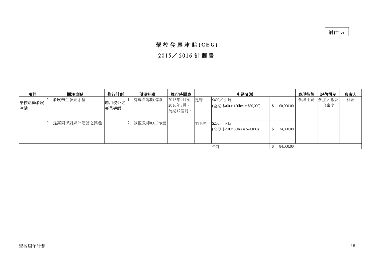附件 vi

#### 學 校 發 展 津 貼 **( C E G )**

## 2015/ 2016 計 劃 書

|              | 2015 / 2016 計劃書 |               |                |                                    |     |                                                                                            |                  |      |              |     |
|--------------|-----------------|---------------|----------------|------------------------------------|-----|--------------------------------------------------------------------------------------------|------------------|------|--------------|-----|
| 項目           | 關注重點            | 推行計劃          | 預期好處           | 推行時間表                              |     | 所需資源                                                                                       |                  | 表現指標 | 評估機制         | 負責人 |
| 學校活動發展<br>津貼 | <b>發展學生多元才藝</b> | 聘用校外之<br>專業導師 | 有專業導師指導        | 2015年9月至 足球<br>2016年8月,<br>為期12個月。 |     | \$400/小時<br>$(\hat{\pm} \bar{\text{H}} \text{ $}400 \text{ x } 150 \text{ hrs} = $60,000)$ | 60,000.00<br>\$. | 參與比賽 | 参加人數及<br>出席率 | 林蕊  |
|              | 2. 提高同學對課外活動之興趣 |               | 減輕教師的工作量<br>2. |                                    | 羽毛球 | \$250/小時<br>$(\hat{\pm} \bar{\text{H}} \text{ $} 250 \text{ x } 96 \text{ hrs} = $24,000)$ | \$<br>24,000.00  |      |              |     |
|              |                 |               |                |                                    |     | 合計                                                                                         | 84,000.00<br>\$  |      |              |     |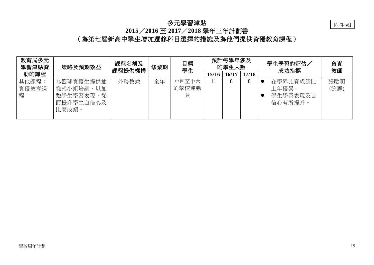#### 多元學習津貼



## **2015**/**2016** 至 **2017**/**2018** 學年三年計劃書

(為第七屆新高中學生增加選修科目選擇的措施及為他們提供資優教育課程)

| 教育局多元<br>學習津貼資      | 策略及預期效益                                                       | 課程名稱及<br>課程提供機構 | 修業期 | 目標<br>學生            |                         | 預計每學年涉及<br>的學生人數 |   | 學生學習的評估<br>成功指標                               | 負責<br>教師    |  |
|---------------------|---------------------------------------------------------------|-----------------|-----|---------------------|-------------------------|------------------|---|-----------------------------------------------|-------------|--|
| 助的課程                |                                                               |                 |     |                     | 17/18<br>16/17<br>15/16 |                  |   |                                               |             |  |
| 其他課程:<br>資優教育課<br>程 | 為籃球資優生提供抽<br>離式小組培訓,以加<br>從<br>強學生學習表現,<br>而提升學生自信心及<br>比賽成績。 | 外聘教練            | 全年  | 中四至中六<br>的學校運動<br>員 |                         | 8                | δ | 在學界比賽成績比<br>上年優異。<br>學生學業表現及自<br>G<br>信心有所提升。 | 張勵明<br>(統籌) |  |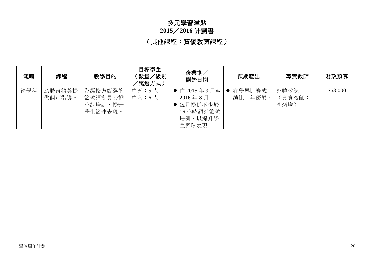# 多元學習津貼

## **2015**/**2016** 計劃書

(其他課程:資優教育課程)

| 範疇  | 課程               | 教學目的                                     | 目標學生<br>〔數量/級別<br>知選方式) | 修業期<br>開始日期                                                         | 預期產出              | 專責教師                   | 財政預算     |
|-----|------------------|------------------------------------------|-------------------------|---------------------------------------------------------------------|-------------------|------------------------|----------|
| 跨學科 | 為體育精英提<br>供個別指導。 | 為經校方甄選的<br>籃球運動員安排<br>小組培訓,提升<br>學生籃球表現。 | 中五:5人<br>中六:6人          | ● 由2015年9月至<br>2016年8月<br>每月提供不少於<br>16 小時額外籃球<br>培訓,以提升學<br>生籃球表現。 | 在學界比賽成<br>績比上年優異。 | 外聘教練<br>(負責教師:<br>李炳均) | \$63,000 |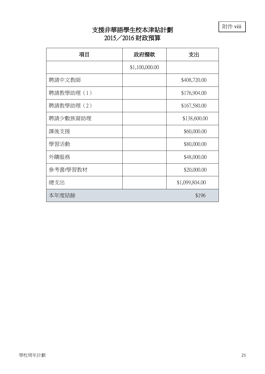附件 viii

# 支援非華語學生校本津貼計劃 2015/2016 財政預算

| 項目         | 政府撥款           | 支出             |
|------------|----------------|----------------|
|            | \$1,100,000.00 |                |
| 聘請中文教師     |                | \$408,720.00   |
| 聘請教學助理 (1) |                | \$176,904.00   |
| 聘請教學助理 (2) |                | \$167,580.00   |
| 聘請少數族裔助理   |                | \$138,600.00   |
| 課後支援       |                | \$60,000.00    |
| 學習活動       |                | \$80,000.00    |
| 外購服務       |                | \$48,000.00    |
| 參考書/學習教材   |                | \$20,000.00    |
| 總支出        |                | \$1,099,804.00 |
| 本年度結餘      |                | \$196          |